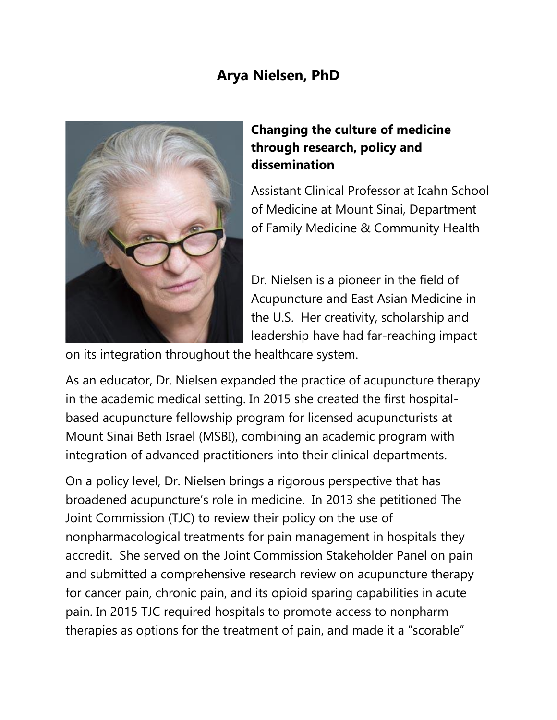## **Arya Nielsen, PhD**



## **Changing the culture of medicine through research, policy and dissemination**

Assistant Clinical Professor at Icahn School of Medicine at Mount Sinai, Department of Family Medicine & Community Health

Dr. Nielsen is a pioneer in the field of Acupuncture and East Asian Medicine in the U.S. Her creativity, scholarship and leadership have had far-reaching impact

on its integration throughout the healthcare system.

As an educator, Dr. Nielsen expanded the practice of acupuncture therapy in the academic medical setting. In 2015 she created the first hospitalbased acupuncture fellowship program for licensed acupuncturists at Mount Sinai Beth Israel (MSBI), combining an academic program with integration of advanced practitioners into their clinical departments.

On a policy level, Dr. Nielsen brings a rigorous perspective that has broadened acupuncture's role in medicine. In 2013 she petitioned The Joint Commission (TJC) to review their policy on the use of nonpharmacological treatments for pain management in hospitals they accredit. She served on the Joint Commission Stakeholder Panel on pain and submitted a comprehensive research review on acupuncture therapy for cancer pain, chronic pain, and its opioid sparing capabilities in acute pain. In 2015 TJC required hospitals to promote access to nonpharm therapies as options for the treatment of pain, and made it a "scorable"